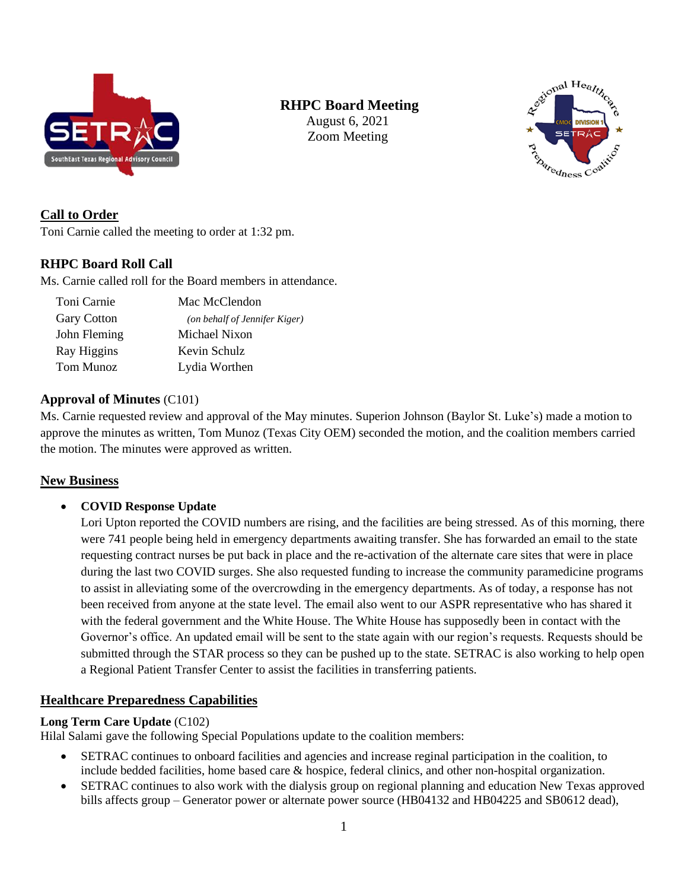

# **RHPC Board Meeting**

August 6, 2021 Zoom Meeting



# **Call to Order**

Toni Carnie called the meeting to order at 1:32 pm.

## **RHPC Board Roll Call**

Ms. Carnie called roll for the Board members in attendance.

| Toni Carnie        | Mac McClendon                 |
|--------------------|-------------------------------|
| <b>Gary Cotton</b> | (on behalf of Jennifer Kiger) |
| John Fleming       | Michael Nixon                 |
| Ray Higgins        | Kevin Schulz                  |
| Tom Munoz          | Lydia Worthen                 |

## **Approval of Minutes** (C101)

Ms. Carnie requested review and approval of the May minutes. Superion Johnson (Baylor St. Luke's) made a motion to approve the minutes as written, Tom Munoz (Texas City OEM) seconded the motion, and the coalition members carried the motion. The minutes were approved as written.

## **New Business**

• **COVID Response Update**

Lori Upton reported the COVID numbers are rising, and the facilities are being stressed. As of this morning, there were 741 people being held in emergency departments awaiting transfer. She has forwarded an email to the state requesting contract nurses be put back in place and the re-activation of the alternate care sites that were in place during the last two COVID surges. She also requested funding to increase the community paramedicine programs to assist in alleviating some of the overcrowding in the emergency departments. As of today, a response has not been received from anyone at the state level. The email also went to our ASPR representative who has shared it with the federal government and the White House. The White House has supposedly been in contact with the Governor's office. An updated email will be sent to the state again with our region's requests. Requests should be submitted through the STAR process so they can be pushed up to the state. SETRAC is also working to help open a Regional Patient Transfer Center to assist the facilities in transferring patients.

## **Healthcare Preparedness Capabilities**

#### **Long Term Care Update** (C102)

Hilal Salami gave the following Special Populations update to the coalition members:

- SETRAC continues to onboard facilities and agencies and increase reginal participation in the coalition, to include bedded facilities, home based care & hospice, federal clinics, and other non-hospital organization.
- SETRAC continues to also work with the dialysis group on regional planning and education New Texas approved bills affects group – Generator power or alternate power source (HB04132 and HB04225 and SB0612 dead),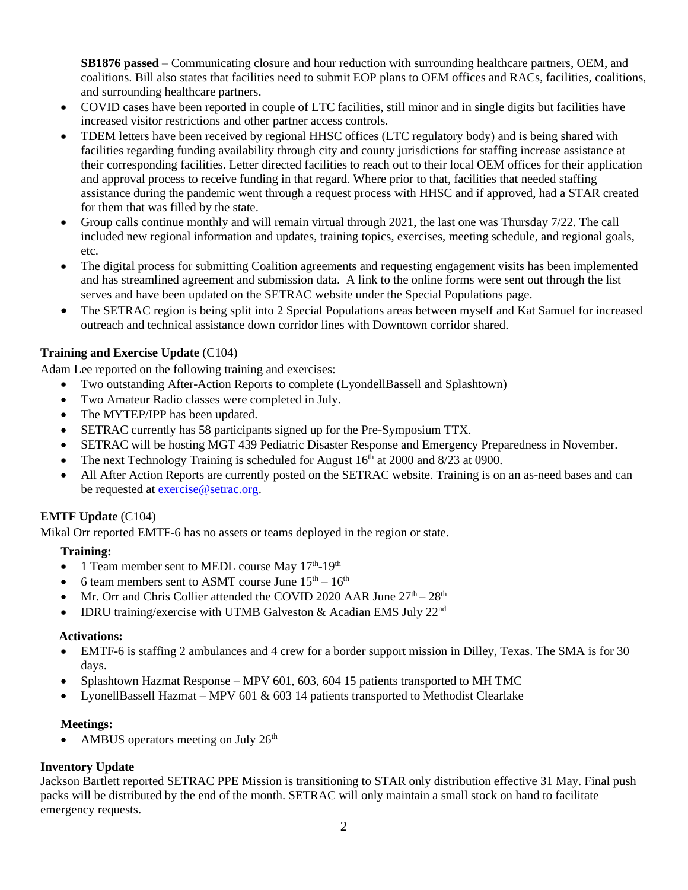**SB1876 passed** – Communicating closure and hour reduction with surrounding healthcare partners, OEM, and coalitions. Bill also states that facilities need to submit EOP plans to OEM offices and RACs, facilities, coalitions, and surrounding healthcare partners.

- COVID cases have been reported in couple of LTC facilities, still minor and in single digits but facilities have increased visitor restrictions and other partner access controls.
- TDEM letters have been received by regional HHSC offices (LTC regulatory body) and is being shared with facilities regarding funding availability through city and county jurisdictions for staffing increase assistance at their corresponding facilities. Letter directed facilities to reach out to their local OEM offices for their application and approval process to receive funding in that regard. Where prior to that, facilities that needed staffing assistance during the pandemic went through a request process with HHSC and if approved, had a STAR created for them that was filled by the state.
- Group calls continue monthly and will remain virtual through 2021, the last one was Thursday 7/22. The call included new regional information and updates, training topics, exercises, meeting schedule, and regional goals, etc.
- The digital process for submitting Coalition agreements and requesting engagement visits has been implemented and has streamlined agreement and submission data. A link to the online forms were sent out through the list serves and have been updated on the SETRAC website under the Special Populations page.
- The SETRAC region is being split into 2 Special Populations areas between myself and Kat Samuel for increased outreach and technical assistance down corridor lines with Downtown corridor shared.

## **Training and Exercise Update** (C104)

Adam Lee reported on the following training and exercises:

- Two outstanding After-Action Reports to complete (LyondellBassell and Splashtown)
- Two Amateur Radio classes were completed in July.
- The MYTEP/IPP has been updated.
- SETRAC currently has 58 participants signed up for the Pre-Symposium TTX.
- SETRAC will be hosting MGT 439 Pediatric Disaster Response and Emergency Preparedness in November.
- The next Technology Training is scheduled for August  $16<sup>th</sup>$  at 2000 and 8/23 at 0900.
- All After Action Reports are currently posted on the SETRAC website. Training is on an as-need bases and can be requested a[t exercise@setrac.org.](mailto:exercise@setrac.org)

## **EMTF Update** (C104)

Mikal Orr reported EMTF-6 has no assets or teams deployed in the region or state.

## **Training:**

- 1 Team member sent to MEDL course May  $17<sup>th</sup>$ -19<sup>th</sup>
- 6 team members sent to ASMT course June  $15<sup>th</sup> 16<sup>th</sup>$
- Mr. Orr and Chris Collier attended the COVID 2020 AAR June  $27<sup>th</sup> 28<sup>th</sup>$
- IDRU training/exercise with UTMB Galveston  $\&$  Acadian EMS July 22<sup>nd</sup>

#### **Activations:**

- EMTF-6 is staffing 2 ambulances and 4 crew for a border support mission in Dilley, Texas. The SMA is for 30 days.
- Splashtown Hazmat Response MPV 601, 603, 604 15 patients transported to MH TMC
- LyonellBassell Hazmat MPV 601 & 603 14 patients transported to Methodist Clearlake

#### **Meetings:**

AMBUS operators meeting on July 26<sup>th</sup>

## **Inventory Update**

Jackson Bartlett reported SETRAC PPE Mission is transitioning to STAR only distribution effective 31 May. Final push packs will be distributed by the end of the month. SETRAC will only maintain a small stock on hand to facilitate emergency requests.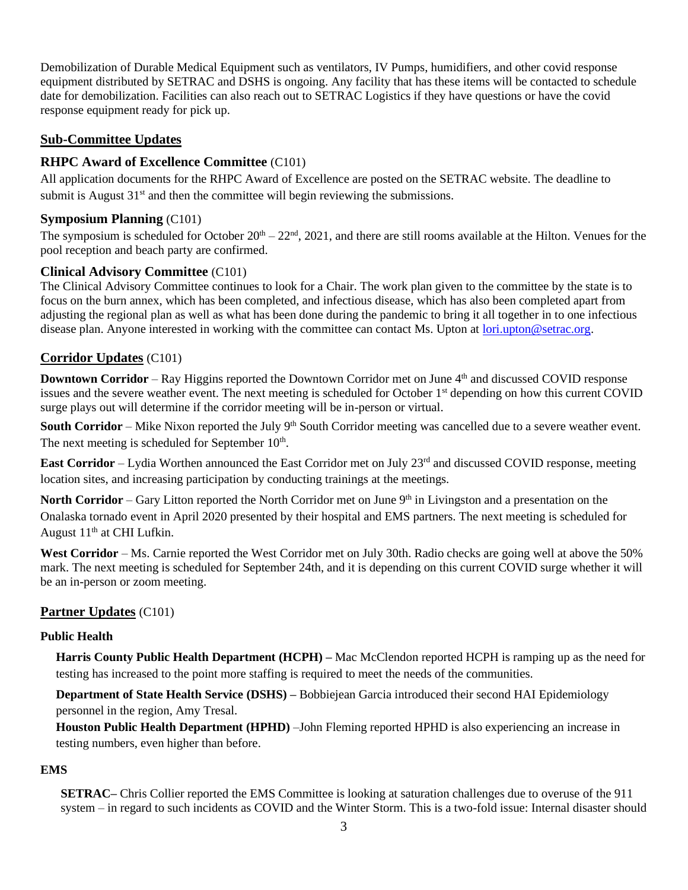Demobilization of Durable Medical Equipment such as ventilators, IV Pumps, humidifiers, and other covid response equipment distributed by SETRAC and DSHS is ongoing. Any facility that has these items will be contacted to schedule date for demobilization. Facilities can also reach out to SETRAC Logistics if they have questions or have the covid response equipment ready for pick up.

## **Sub-Committee Updates**

## **RHPC Award of Excellence Committee** (C101)

All application documents for the RHPC Award of Excellence are posted on the SETRAC website. The deadline to submit is August  $31<sup>st</sup>$  and then the committee will begin reviewing the submissions.

## **Symposium Planning** (C101)

The symposium is scheduled for October  $20<sup>th</sup> - 22<sup>nd</sup>$ , 2021, and there are still rooms available at the Hilton. Venues for the pool reception and beach party are confirmed.

## **Clinical Advisory Committee** (C101)

The Clinical Advisory Committee continues to look for a Chair. The work plan given to the committee by the state is to focus on the burn annex, which has been completed, and infectious disease, which has also been completed apart from adjusting the regional plan as well as what has been done during the pandemic to bring it all together in to one infectious disease plan. Anyone interested in working with the committee can contact Ms. Upton at [lori.upton@setrac.org.](mailto:lori.upton@setrac.org)

# **Corridor Updates** (C101)

**Downtown Corridor** – Ray Higgins reported the Downtown Corridor met on June 4<sup>th</sup> and discussed COVID response issues and the severe weather event. The next meeting is scheduled for October 1<sup>st</sup> depending on how this current COVID surge plays out will determine if the corridor meeting will be in-person or virtual.

**South Corridor** – Mike Nixon reported the July 9<sup>th</sup> South Corridor meeting was cancelled due to a severe weather event. The next meeting is scheduled for September  $10<sup>th</sup>$ .

**East Corridor** – Lydia Worthen announced the East Corridor met on July 23<sup>rd</sup> and discussed COVID response, meeting location sites, and increasing participation by conducting trainings at the meetings.

**North Corridor** – Gary Litton reported the North Corridor met on June 9<sup>th</sup> in Livingston and a presentation on the Onalaska tornado event in April 2020 presented by their hospital and EMS partners. The next meeting is scheduled for August  $11<sup>th</sup>$  at CHI Lufkin.

West Corridor – Ms. Carnie reported the West Corridor met on July 30th. Radio checks are going well at above the 50% mark. The next meeting is scheduled for September 24th, and it is depending on this current COVID surge whether it will be an in-person or zoom meeting.

## **Partner Updates** (C101)

## **Public Health**

 **Harris County Public Health Department (HCPH) –** Mac McClendon reported HCPH is ramping up as the need for testing has increased to the point more staffing is required to meet the needs of the communities.

 **Department of State Health Service (DSHS) –** Bobbiejean Garcia introduced their second HAI Epidemiology personnel in the region, Amy Tresal.

 **Houston Public Health Department (HPHD)** –John Fleming reported HPHD is also experiencing an increase in testing numbers, even higher than before.

## **EMS**

**SETRAC–** Chris Collier reported the EMS Committee is looking at saturation challenges due to overuse of the 911 system – in regard to such incidents as COVID and the Winter Storm. This is a two-fold issue: Internal disaster should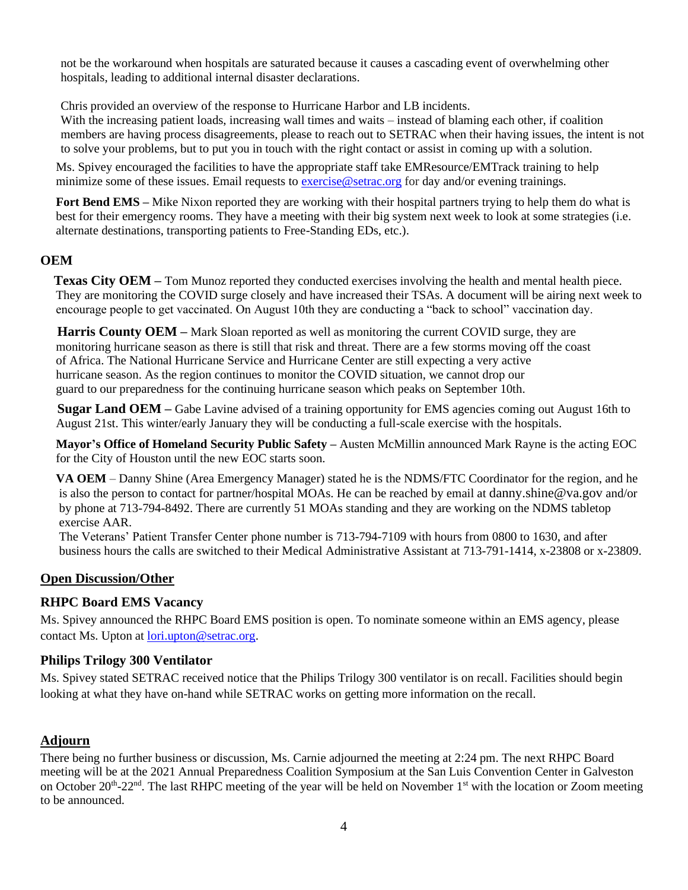not be the workaround when hospitals are saturated because it causes a cascading event of overwhelming other hospitals, leading to additional internal disaster declarations.

Chris provided an overview of the response to Hurricane Harbor and LB incidents.

With the increasing patient loads, increasing wall times and waits – instead of blaming each other, if coalition members are having process disagreements, please to reach out to SETRAC when their having issues, the intent is not to solve your problems, but to put you in touch with the right contact or assist in coming up with a solution.

 Ms. Spivey encouraged the facilities to have the appropriate staff take EMResource/EMTrack training to help minimize some of these issues. Email requests to [exercise@setrac.org](mailto:exercise@setrac.org) for day and/or evening trainings.

**Fort Bend EMS** – Mike Nixon reported they are working with their hospital partners trying to help them do what is best for their emergency rooms. They have a meeting with their big system next week to look at some strategies (i.e. alternate destinations, transporting patients to Free-Standing EDs, etc.).

# **OEM**

**Texas City OEM** – Tom Munoz reported they conducted exercises involving the health and mental health piece. They are monitoring the COVID surge closely and have increased their TSAs. A document will be airing next week to encourage people to get vaccinated. On August 10th they are conducting a "back to school" vaccination day.

**Harris County OEM** – Mark Sloan reported as well as monitoring the current COVID surge, they are monitoring hurricane season as there is still that risk and threat. There are a few storms moving off the coast of Africa. The National Hurricane Service and Hurricane Center are still expecting a very active hurricane season. As the region continues to monitor the COVID situation, we cannot drop our guard to our preparedness for the continuing hurricane season which peaks on September 10th.

**Sugar Land OEM** – Gabe Lavine advised of a training opportunity for EMS agencies coming out August 16th to August 21st. This winter/early January they will be conducting a full-scale exercise with the hospitals.

 **Mayor's Office of Homeland Security Public Safety –** Austen McMillin announced Mark Rayne is the acting EOC for the City of Houston until the new EOC starts soon.

 **VA OEM** – Danny Shine (Area Emergency Manager) stated he is the NDMS/FTC Coordinator for the region, and he is also the person to contact for partner/hospital MOAs. He can be reached by email at [danny.shine@va.gov](mailto:danny.shine@va.gov) and/or by phone at 713-794-8492. There are currently 51 MOAs standing and they are working on the NDMS tabletop exercise AAR.

 The Veterans' Patient Transfer Center phone number is 713-794-7109 with hours from 0800 to 1630, and after business hours the calls are switched to their Medical Administrative Assistant at 713-791-1414, x-23808 or x-23809.

## **Open Discussion/Other**

## **RHPC Board EMS Vacancy**

Ms. Spivey announced the RHPC Board EMS position is open. To nominate someone within an EMS agency, please contact Ms. Upton at [lori.upton@setrac.org.](mailto:lori.upton@setrac.org)

#### **Philips Trilogy 300 Ventilator**

Ms. Spivey stated SETRAC received notice that the Philips Trilogy 300 ventilator is on recall. Facilities should begin looking at what they have on-hand while SETRAC works on getting more information on the recall.

## **Adjourn**

There being no further business or discussion, Ms. Carnie adjourned the meeting at 2:24 pm. The next RHPC Board meeting will be at the 2021 Annual Preparedness Coalition Symposium at the San Luis Convention Center in Galveston on October 20<sup>th</sup>-22<sup>nd</sup>. The last RHPC meeting of the year will be held on November 1<sup>st</sup> with the location or Zoom meeting to be announced.